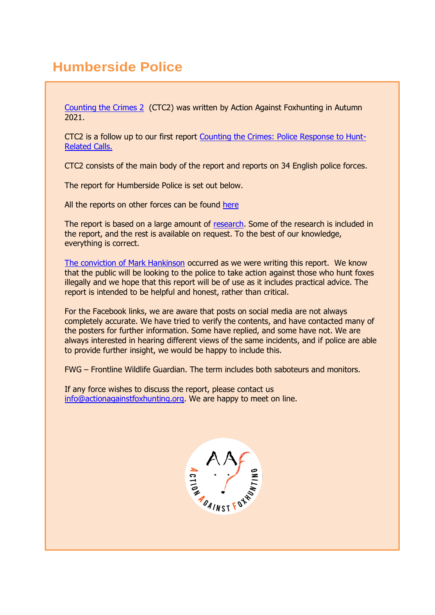# **Humberside Police**

[Counting the Crimes 2](https://www.actionagainstfoxhunting.org/counting-the-crimes2-the-police-response/) (CTC2) was written by Action Against Foxhunting in Autumn 2021.

CTC2 is a follow up to our first report [Counting the Crimes: Police Response to Hunt-](https://www.actionagainstfoxhunting.org/counting-the-crimes/)[Related Calls.](https://www.actionagainstfoxhunting.org/counting-the-crimes/)

CTC2 consists of the main body of the report and reports on 34 English police forces.

The report for Humberside Police is set out below.

All the reports on other forces can be found [here](https://www.actionagainstfoxhunting.org/counting-the-crimes2-the-police-response/)

The report is based on a large amount of [research.](https://www.actionagainstfoxhunting.org/wp-content/uploads/2021/11/A-1411-Research-for-CTC2.pdf) Some of the research is included in the report, and the rest is available on request. To the best of our knowledge, everything is correct.

[The conviction of Mark Hankinson](https://www.league.org.uk/news-and-resources/news/hunting-office-webinars-the-road-to-conviction/) occurred as we were writing this report. We know that the public will be looking to the police to take action against those who hunt foxes illegally and we hope that this report will be of use as it includes practical advice. The report is intended to be helpful and honest, rather than critical.

For the Facebook links, we are aware that posts on social media are not always completely accurate. We have tried to verify the contents, and have contacted many of the posters for further information. Some have replied, and some have not. We are always interested in hearing different views of the same incidents, and if police are able to provide further insight, we would be happy to include this.

FWG – Frontline Wildlife Guardian. The term includes both saboteurs and monitors.

If any force wishes to discuss the report, please contact us [info@actionagainstfoxhunting.org.](mailto:info@actionagainstfoxhunting.org) We are happy to meet on line.

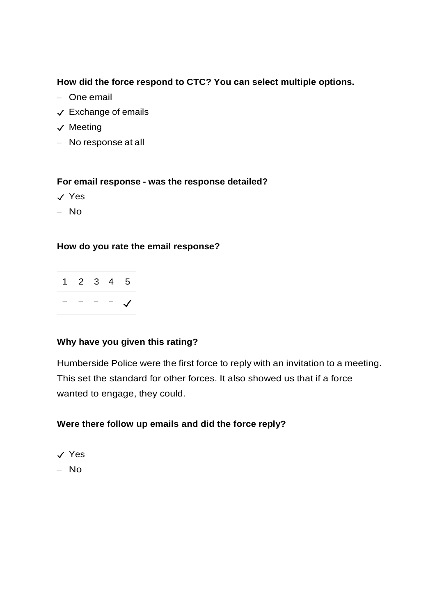### **How did the force respond to CTC? You can select multiple options.**

- One email
- ✓ Exchange of emails
- ✓ Meeting
- No response at all

### **For email response - was the response detailed?**

- ✓ Yes
- No

### **How do you rate the email response?**

| 1 2 3 4 5 |  |  |
|-----------|--|--|
|           |  |  |

### **Why have you given this rating?**

Humberside Police were the first force to reply with an invitation to a meeting. This set the standard for other forces. It also showed us that if a force wanted to engage, they could.

### **Were there follow up emails and did the force reply?**

✓ Yes

 $-$  No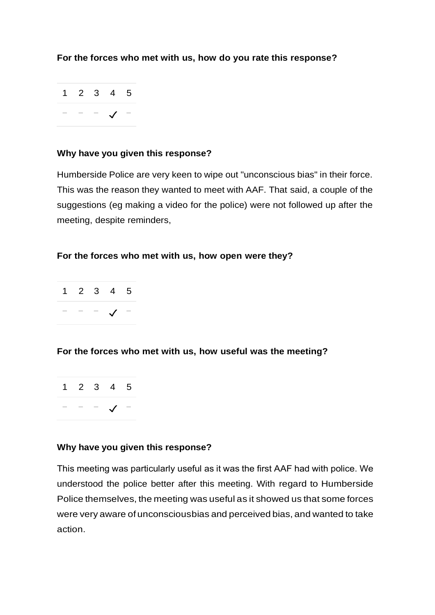**For the forces who met with us, how do you rate this response?**



### **Why have you given this response?**

Humberside Police are very keen to wipe out "unconscious bias" in their force. This was the reason they wanted to meet with AAF. That said, a couple of the suggestions (eg making a video for the police) were not followed up after the meeting, despite reminders,

### **For the forces who met with us, how open were they?**

|  | $1 2 3 4 5$     |  |
|--|-----------------|--|
|  | $  \sqrt{}$ $-$ |  |

### **For the forces who met with us, how useful was the meeting?**

|  | 1 2 3 4 5 |  |
|--|-----------|--|
|  |           |  |

### **Why have you given this response?**

This meeting was particularly useful as it was the first AAF had with police. We understood the police better after this meeting. With regard to Humberside Police themselves, the meeting was useful as it showed us that some forces were very aware of unconsciousbias and perceived bias, and wanted to take action.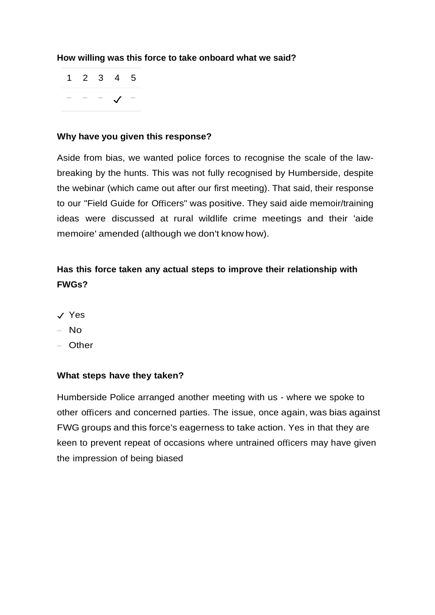### **How willing was this force to take onboard what we said?**

1 2 3 4 5 − − − ✓ −

### **Why have you given this response?**

Aside from bias, we wanted police forces to recognise the scale of the lawbreaking by the hunts. This was not fully recognised by Humberside, despite the webinar (which came out after our first meeting). That said, their response to our "Field Guide for Officers" was positive. They said aide memoir/training ideas were discussed at rural wildlife crime meetings and their 'aide memoire' amended (although we don't know how).

### **Has this force taken any actual steps to improve their relationship with FWGs?**

- ✓ Yes
- No
- Other

#### **What steps have they taken?**

Humberside Police arranged another meeting with us - where we spoke to other officers and concerned parties. The issue, once again, was bias against FWG groups and this force's eagerness to take action. Yes in that they are keen to prevent repeat of occasions where untrained officers may have given the impression of being biased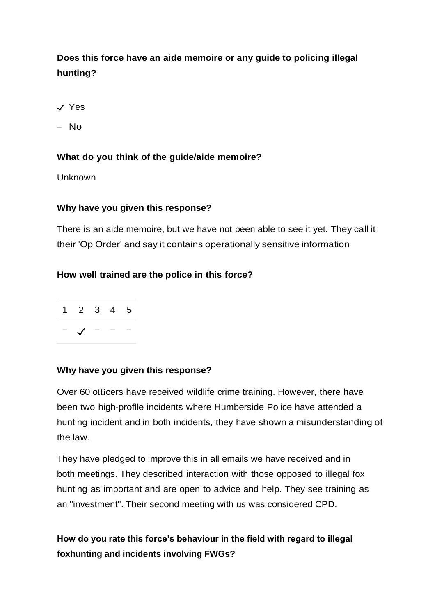## **Does this force have an aide memoire or any guide to policing illegal hunting?**

- ✓ Yes
- No

### **What do you think of the guide/aide memoire?**

Unknown

### **Why have you given this response?**

There is an aide memoire, but we have not been able to see it yet. They call it their 'Op Order' and say it contains operationally sensitive information

### **How well trained are the police in this force?**

| 1 2 3 4 5      |  |  |
|----------------|--|--|
| $\sqrt{ }$ - - |  |  |

### **Why have you given this response?**

Over 60 officers have received wildlife crime training. However, there have been two high-profile incidents where Humberside Police have attended a hunting incident and in both incidents, they have shown a misunderstanding of the law.

They have pledged to improve this in all emails we have received and in both meetings. They described interaction with those opposed to illegal fox hunting as important and are open to advice and help. They see training as an "investment". Their second meeting with us was considered CPD.

**How do you rate this force's behaviour in the field with regard to illegal foxhunting and incidents involving FWGs?**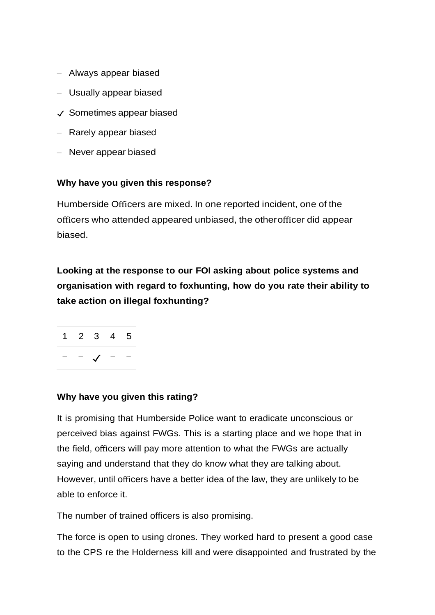- Always appear biased
- Usually appear biased
- ✓ Sometimes appear biased
- Rarely appear biased
- Never appear biased

### **Why have you given this response?**

Humberside Officers are mixed. In one reported incident, one of the officers who attended appeared unbiased, the otherofficer did appear biased.

**Looking at the response to our FOI asking about police systems and organisation with regard to foxhunting, how do you rate their ability to take action on illegal foxhunting?**



### **Why have you given this rating?**

It is promising that Humberside Police want to eradicate unconscious or perceived bias against FWGs. This is a starting place and we hope that in the field, officers will pay more attention to what the FWGs are actually saying and understand that they do know what they are talking about. However, until officers have a better idea of the law, they are unlikely to be able to enforce it.

The number of trained officers is also promising.

The force is open to using drones. They worked hard to present a good case to the CPS re the Holderness kill and were disappointed and frustrated by the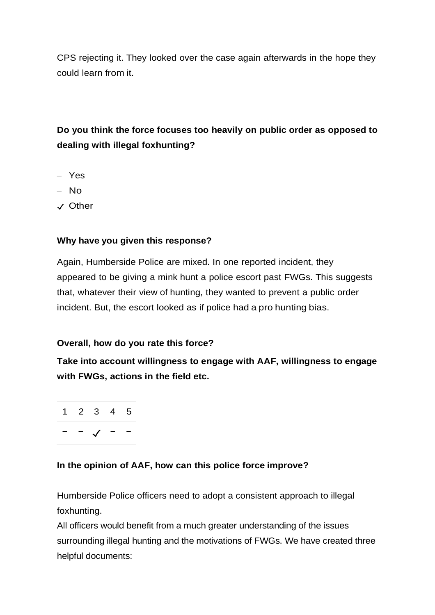CPS rejecting it. They looked over the case again afterwards in the hope they could learn from it.

## **Do you think the force focuses too heavily on public order as opposed to dealing with illegal foxhunting?**

- Yes
- No
- ✓ Other

### **Why have you given this response?**

Again, Humberside Police are mixed. In one reported incident, they appeared to be giving a mink hunt a police escort past FWGs. This suggests that, whatever their view of hunting, they wanted to prevent a public order incident. But, the escort looked as if police had a pro hunting bias.

### **Overall, how do you rate this force?**

**Take into account willingness to engage with AAF, willingness to engage with FWGs, actions in the field etc.**

1 2 3 4 5 − − ✓ − −

### **In the opinion of AAF, how can this police force improve?**

Humberside Police officers need to adopt a consistent approach to illegal foxhunting.

All officers would benefit from a much greater understanding of the issues surrounding illegal hunting and the motivations of FWGs. We have created three helpful documents: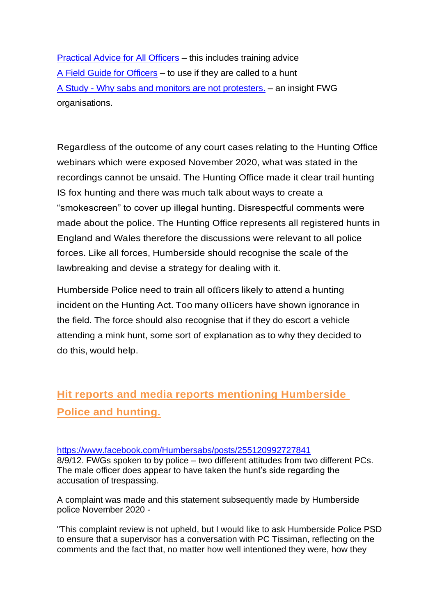[Practical Advice for All Officers](https://www.actionagainstfoxhunting.org/wp-content/uploads/2021/11/B-1411-Practical-Advice-for-all-Police-Forces.pdf) – this includes training advice [A Field Guide for Officers](https://www.actionagainstfoxhunting.org/wp-content/uploads/2021/11/A-1411-FIELD-GUIDE-ILLEGAL-FOXHUNTING.pdf) – to use if they are called to a hunt A Study - [Why sabs and monitors are not protesters.](https://www.actionagainstfoxhunting.org/wp-content/uploads/2021/11/A-1411-Why-sabs-and-monitors-arent-protesters.pdf) – an insight FWG organisations.

Regardless of the outcome of any court cases relating to the Hunting Office webinars which were exposed November 2020, what was stated in the recordings cannot be unsaid. The Hunting Office made it clear trail hunting IS fox hunting and there was much talk about ways to create a "smokescreen" to cover up illegal hunting. Disrespectful comments were made about the police. The Hunting Office represents all registered hunts in England and Wales therefore the discussions were relevant to all police forces. Like all forces, Humberside should recognise the scale of the lawbreaking and devise a strategy for dealing with it.

Humberside Police need to train all officers likely to attend a hunting incident on the Hunting Act. Too many officers have shown ignorance in the field. The force should also recognise that if they do escort a vehicle attending a mink hunt, some sort of explanation as to why they decided to do this, would help.

# **Hit reports and media reports mentioning Humberside Police and hunting.**

#### <https://www.facebook.com/Humbersabs/posts/255120992727841>

8/9/12. FWGs spoken to by police – two different attitudes from two different PCs. The male officer does appear to have taken the hunt's side regarding the accusation of trespassing.

A complaint was made and this statement subsequently made by Humberside police November 2020 -

"This complaint review is not upheld, but I would like to ask Humberside Police PSD to ensure that a supervisor has a conversation with PC Tissiman, reflecting on the comments and the fact that, no matter how well intentioned they were, how they